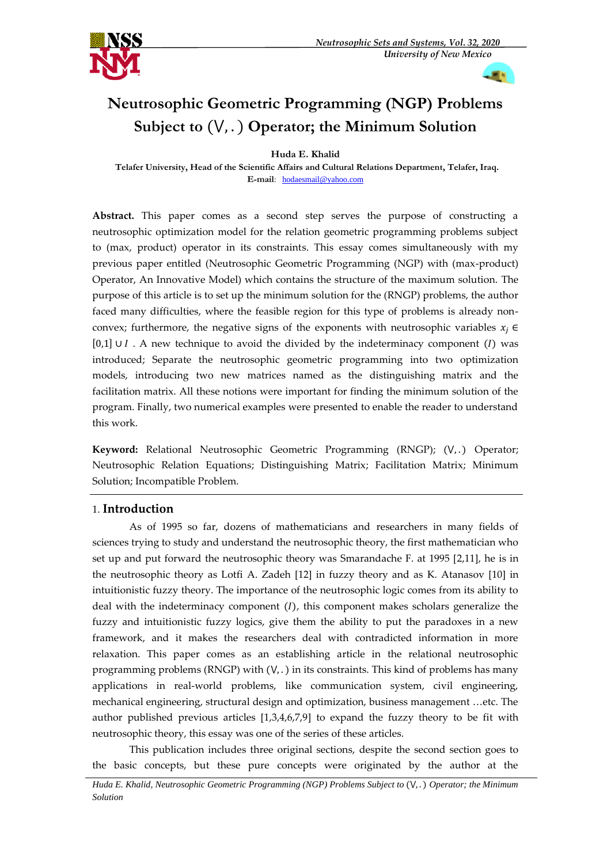



# **Neutrosophic Geometric Programming (NGP) Problems Subject to** (⋁, . ) **Operator; the Minimum Solution**

**Huda E. Khalid** 

**Telafer University, Head of the Scientific Affairs and Cultural Relations Department, Telafer, Iraq. E-mail**: [hodaesmail@yahoo.com](mailto:hodaesmail@yahoo.com)

**Abstract.** This paper comes as a second step serves the purpose of constructing a neutrosophic optimization model for the relation geometric programming problems subject to (max, product) operator in its constraints. This essay comes simultaneously with my previous paper entitled (Neutrosophic Geometric Programming (NGP) with (max-product) Operator, An Innovative Model) which contains the structure of the maximum solution. The purpose of this article is to set up the minimum solution for the (RNGP) problems, the author faced many difficulties, where the feasible region for this type of problems is already nonconvex; furthermore, the negative signs of the exponents with neutrosophic variables  $x_i \in$  $[0,1]$  ∪  $I$ . A new technique to avoid the divided by the indeterminacy component  $(I)$  was introduced; Separate the neutrosophic geometric programming into two optimization models, introducing two new matrices named as the distinguishing matrix and the facilitation matrix. All these notions were important for finding the minimum solution of the program. Finally, two numerical examples were presented to enable the reader to understand this work.

Keyword: Relational Neutrosophic Geometric Programming (RNGP); (V<sub>1</sub>.) Operator; Neutrosophic Relation Equations; Distinguishing Matrix; Facilitation Matrix; Minimum Solution; Incompatible Problem.

# 1. **Introduction**

As of 1995 so far, dozens of mathematicians and researchers in many fields of sciences trying to study and understand the neutrosophic theory, the first mathematician who set up and put forward the neutrosophic theory was Smarandache F. at 1995 [2,11], he is in the neutrosophic theory as Lotfi A. Zadeh [12] in fuzzy theory and as K. Atanasov [10] in intuitionistic fuzzy theory. The importance of the neutrosophic logic comes from its ability to deal with the indeterminacy component  $(I)$ , this component makes scholars generalize the fuzzy and intuitionistic fuzzy logics, give them the ability to put the paradoxes in a new framework, and it makes the researchers deal with contradicted information in more relaxation. This paper comes as an establishing article in the relational neutrosophic programming problems (RNGP) with  $(V,.)$  in its constraints. This kind of problems has many applications in real-world problems, like communication system, civil engineering, mechanical engineering, structural design and optimization, business management …etc. The author published previous articles [1,3,4,6,7,9] to expand the fuzzy theory to be fit with neutrosophic theory, this essay was one of the series of these articles.

This publication includes three original sections, despite the second section goes to the basic concepts, but these pure concepts were originated by the author at the

*Huda E. Khalid, Neutrosophic Geometric Programming (NGP) Problems Subject to (V,.) Operator; the Minimum Solution*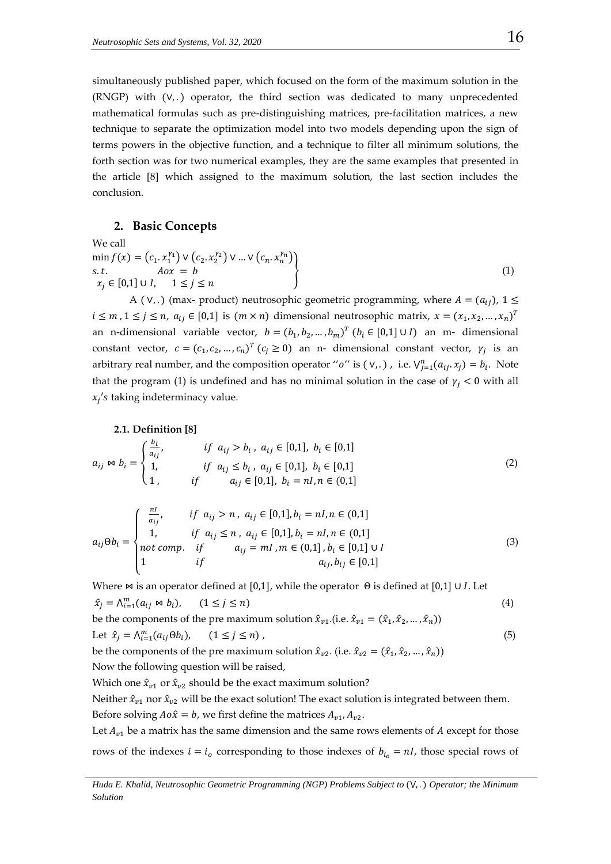simultaneously published paper, which focused on the form of the maximum solution in the (RNGP) with (∨, . ) operator, the third section was dedicated to many unprecedented mathematical formulas such as pre-distinguishing matrices, pre-facilitation matrices, a new technique to separate the optimization model into two models depending upon the sign of terms powers in the objective function, and a technique to filter all minimum solutions, the forth section was for two numerical examples, they are the same examples that presented in the article [8] which assigned to the maximum solution, the last section includes the conclusion.

## **2. Basic Concepts**

We call  
\n
$$
\min_{\text{min}} f(x) = (c_1 \cdot x_1^{\gamma_1}) \vee (c_2 \cdot x_2^{\gamma_2}) \vee ... \vee (c_n \cdot x_n^{\gamma_n})
$$
\ns.t.  
\n
$$
A \circ x = b
$$
\n
$$
x_j \in [0,1] \cup I, \quad 1 \le j \le n
$$
\n(1)

A ( $V,$ .) (max- product) neutrosophic geometric programming, where  $A = (a_{ij})$ ,  $1 \leq$  $i \leq m$ ,  $1 \leq j \leq n$ ,  $a_{ij} \in [0,1]$  is  $(m \times n)$  dimensional neutrosophic matrix,  $x = (x_1, x_2, ..., x_n)^T$ an n-dimensional variable vector,  $b = (b_1, b_2, ..., b_m)^T$   $(b_i \in [0,1] \cup I)$  an m- dimensional constant vector,  $c = (c_1, c_2, ..., c_n)^T$   $(c_j \ge 0)$  an n- dimensional constant vector,  $\gamma_j$  is an arbitrary real number, and the composition operator "o" is  $(v,.)$ , i.e.  $V_{j=1}^n(a_{ij}.x_j) = b_i$ . Note that the program (1) is undefined and has no minimal solution in the case of  $\gamma_i$  < 0 with all  $x_i$ 's taking indeterminacy value.

#### **2.1. Definition [8]**

$$
a_{ij} \bowtie b_i = \begin{cases} \frac{b_i}{a_{ij}}, & \text{if } a_{ij} > b_i, \ a_{ij} \in [0,1], \ b_i \in [0,1] \\ 1, & \text{if } a_{ij} \le b_i, \ a_{ij} \in [0,1], \ b_i \in [0,1] \\ 1, & \text{if } a_{ij} \in [0,1], \ b_i = nI, n \in (0,1] \end{cases} \tag{2}
$$

$$
a_{ij}\Theta b_i = \begin{cases} \frac{n!}{a_{ij}}, & \text{if } a_{ij} > n, \ a_{ij} \in [0,1], b_i = n, n \in (0,1] \\ 1, & \text{if } a_{ij} \le n, \ a_{ij} \in [0,1], b_i = n, n \in (0,1] \\ not \ comp. & \text{if } a_{ij} = m, m \in (0,1], b_i \in [0,1] \cup I \\ 1 & \text{if } a_{ij}, b_{ij} \in [0,1] \end{cases} \tag{3}
$$

Where  $\bowtie$  is an operator defined at [0,1], while the operator  $\Theta$  is defined at [0,1] ∪ *I*. Let  $\hat{x}_j = \bigwedge_{i=1}^m (a_{ij} \bowtie b_i), \qquad (1 \le j \le n)$ (4) be the components of the pre maximum solution  $\hat{x}_{v1}$ .(i.e.  $\hat{x}_{v1} = (\hat{x}_1, \hat{x}_2, ..., \hat{x}_n)$ )

Let 
$$
\hat{x}_j = \bigwedge_{i=1}^m (a_{ij} \Theta b_i), \qquad (1 \le j \le n)
$$
, 
$$
(5)
$$

be the components of the pre maximum solution  $\hat{x}_{v2}$ . (i.e.  $\hat{x}_{v2} = (\hat{x}_1, \hat{x}_2, ..., \hat{x}_n)$ ) Now the following question will be raised,

Which one  $\hat{x}_{v1}$  or  $\hat{x}_{v2}$  should be the exact maximum solution?

Neither  $\hat{x}_{v1}$  nor  $\hat{x}_{v2}$  will be the exact solution! The exact solution is integrated between them. Before solving  $A \circ \hat{x} = b$ , we first define the matrices  $A_{\nu 1}$ ,  $A_{\nu 2}$ .

Let  $A_{v1}$  be a matrix has the same dimension and the same rows elements of A except for those rows of the indexes  $i = i_0$  corresponding to those indexes of  $b_{i_0} = nI$ , those special rows of

*Huda E. Khalid, Neutrosophic Geometric Programming (NGP) Problems Subject to (V,.) Operator; the Minimum Solution*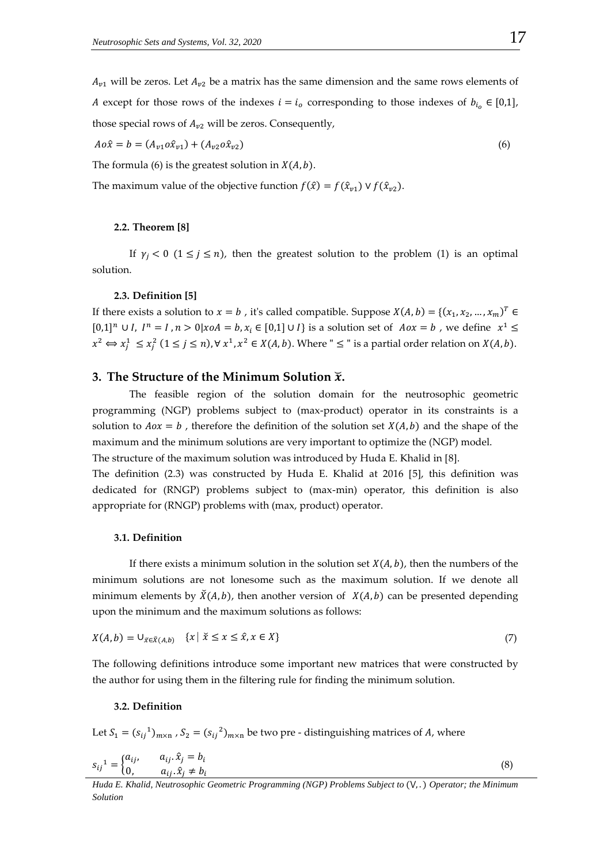$A_{\nu1}$  will be zeros. Let  $A_{\nu2}$  be a matrix has the same dimension and the same rows elements of A except for those rows of the indexes  $i = i_0$  corresponding to those indexes of  $b_{i_0} \in [0,1]$ , those special rows of  $A_{v2}$  will be zeros. Consequently,

$$
A \circ \hat{x} = b = (A_{v1} \circ \hat{x}_{v1}) + (A_{v2} \circ \hat{x}_{v2})
$$
\n(6)

The formula (6) is the greatest solution in  $X(A, b)$ .

The maximum value of the objective function  $f(\hat{x}) = f(\hat{x}_{n1}) \vee f(\hat{x}_{n2}).$ 

#### **2.2. Theorem [8]**

If  $\gamma_i < 0$  ( $1 \le j \le n$ ), then the greatest solution to the problem (1) is an optimal solution.

#### **2.3. Definition [5]**

If there exists a solution to  $x = b$ , it's called compatible. Suppose  $X(A, b) = \{(x_1, x_2, ..., x_m)^T \in$  $[0,1]^n \cup I$ ,  $I^n = I$ ,  $n > 0$ |xoA =  $b$ ,  $x_i \in [0,1] \cup I$ } is a solution set of  $A \circ x = b$ , we define  $x^1 \le$  $x^2 \Leftrightarrow x_j^1 \le x_j^2$   $(1 \le j \le n)$ ,  $\forall x^1, x^2 \in X(A, b)$ . Where " $\le$  " is a partial order relation on  $X(A, b)$ .

# **3. The Structure of the Minimum Solution** ̆**.**

The feasible region of the solution domain for the neutrosophic geometric programming (NGP) problems subject to (max-product) operator in its constraints is a solution to  $A \circ \alpha = b$ , therefore the definition of the solution set  $X(A, b)$  and the shape of the maximum and the minimum solutions are very important to optimize the (NGP) model. The structure of the maximum solution was introduced by Huda E. Khalid in [8].

The definition (2.3) was constructed by Huda E. Khalid at 2016 [5], this definition was dedicated for (RNGP) problems subject to (max-min) operator, this definition is also appropriate for (RNGP) problems with (max, product) operator.

## **3.1. Definition**

If there exists a minimum solution in the solution set  $X(A, b)$ , then the numbers of the minimum solutions are not lonesome such as the maximum solution. If we denote all minimum elements by  $\breve{X}(A, b)$ , then another version of  $X(A, b)$  can be presented depending upon the minimum and the maximum solutions as follows:

$$
X(A,b) = \cup_{\tilde{x} \in \tilde{X}(A,b)} \quad \{x \mid \tilde{x} \le x \le \hat{x}, x \in X\}
$$
\n<sup>(7)</sup>

The following definitions introduce some important new matrices that were constructed by the author for using them in the filtering rule for finding the minimum solution.

## **3.2. Definition**

Let  $S_1 = (s_{ij}^1)_{m \times n}$ ,  $S_2 = (s_{ij}^2)_{m \times n}$  be two pre - distinguishing matrices of A, where

$$
s_{ij}^{1} = \begin{cases} a_{ij}, & a_{ij} \cdot \hat{x}_j = b_i \\ 0, & a_{ij} \cdot \hat{x}_j \neq b_i \end{cases}
$$
 (8)

*Huda E. Khalid, Neutrosophic Geometric Programming (NGP) Problems Subject to (V,.) Operator; the Minimum Solution*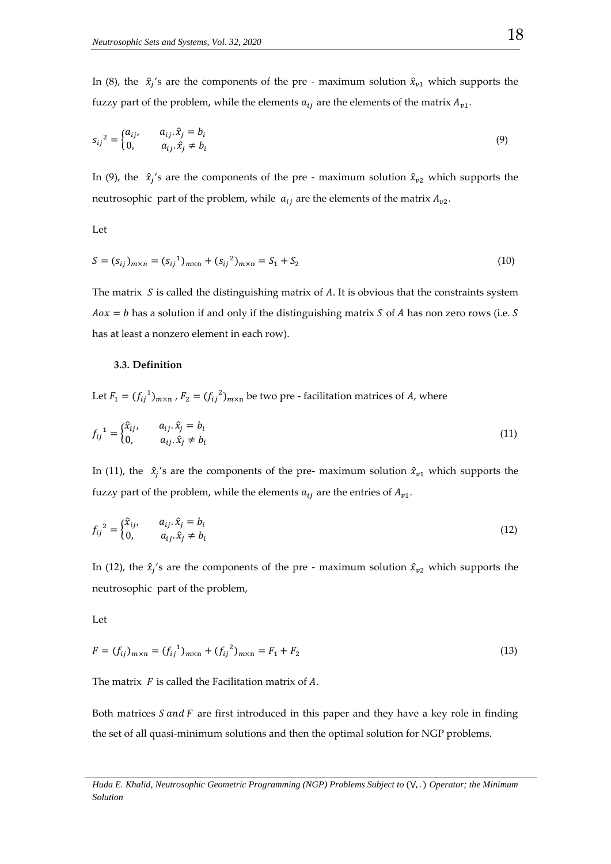In (8), the  $\hat{x}_j$ 's are the components of the pre - maximum solution  $\hat{x}_{v1}$  which supports the fuzzy part of the problem, while the elements  $a_{ij}$  are the elements of the matrix  $A_{\nu1}$ .

$$
s_{ij}^{2} = \begin{cases} a_{ij}, & a_{ij} \cdot \hat{x}_{j} = b_{i} \\ 0, & a_{ij} \cdot \hat{x}_{j} \neq b_{i} \end{cases}
$$
 (9)

In (9), the  $\hat{x}_i$ 's are the components of the pre - maximum solution  $\hat{x}_{v2}$  which supports the neutrosophic part of the problem, while  $a_{ij}$  are the elements of the matrix  $A_{v2}$ .

Let

$$
S = (s_{ij})_{m \times n} = (s_{ij}^{1})_{m \times n} + (s_{ij}^{2})_{m \times n} = S_1 + S_2
$$
\n(10)

The matrix  $S$  is called the distinguishing matrix of  $A$ . It is obvious that the constraints system  $Aox = b$  has a solution if and only if the distinguishing matrix *S* of *A* has non zero rows (i.e. *S* has at least a nonzero element in each row).

## **3.3. Definition**

Let  $F_1 = (f_{ij}^1)_{m \times n}$  ,  $F_2 = (f_{ij}^2)_{m \times n}$  be two pre - facilitation matrices of A, where

$$
f_{ij}^{1} = \begin{cases} \hat{x}_{ij}, & a_{ij} \cdot \hat{x}_j = b_i \\ 0, & a_{ij} \cdot \hat{x}_j \neq b_i \end{cases}
$$
 (11)

In (11), the  $\hat{x}_i$ 's are the components of the pre- maximum solution  $\hat{x}_{v1}$  which supports the fuzzy part of the problem, while the elements  $a_{ij}$  are the entries of  $A_{\nu1}$ .

$$
f_{ij}^{2} = \begin{cases} \hat{x}_{ij}, & a_{ij} \cdot \hat{x}_{j} = b_{i} \\ 0, & a_{ij} \cdot \hat{x}_{j} \neq b_{i} \end{cases}
$$
 (12)

In (12), the  $\hat{x}_j$ 's are the components of the pre - maximum solution  $\hat{x}_{v2}$  which supports the neutrosophic part of the problem,

Let

$$
F = (f_{ij})_{m \times n} = (f_{ij}^{1})_{m \times n} + (f_{ij}^{2})_{m \times n} = F_{1} + F_{2}
$$
\n(13)

The matrix  $F$  is called the Facilitation matrix of  $A$ .

Both matrices  $S$  and  $F$  are first introduced in this paper and they have a key role in finding the set of all quasi-minimum solutions and then the optimal solution for NGP problems.

*Huda E. Khalid, Neutrosophic Geometric Programming (NGP) Problems Subject to (V,.) Operator; the Minimum Solution*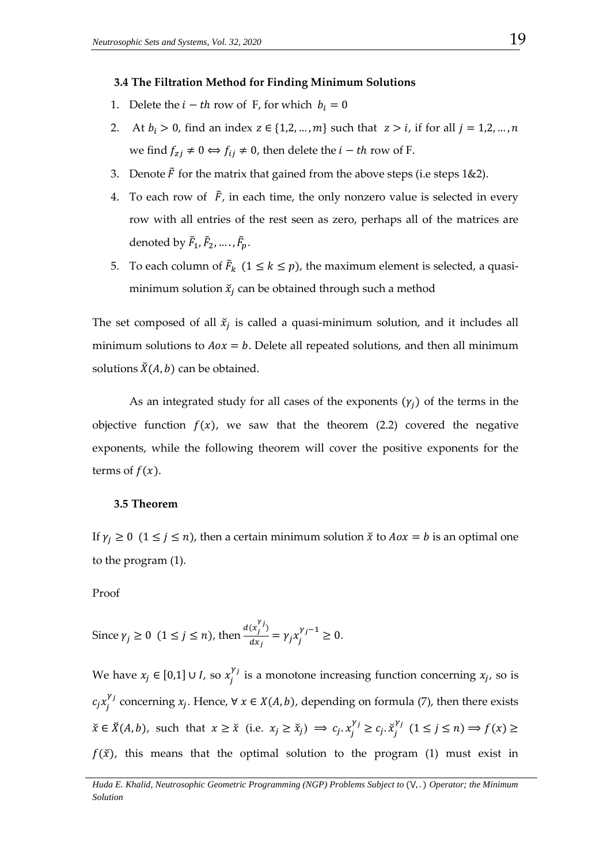#### **3.4 The Filtration Method for Finding Minimum Solutions**

- 1. Delete the  $i th$  row of F, for which  $b_i = 0$
- 2. At  $b_i > 0$ , find an index  $z \in \{1, 2, ..., m\}$  such that  $z > i$ , if for all  $j = 1, 2, ..., n$ we find  $f_{zi} \neq 0 \Leftrightarrow f_{ii} \neq 0$ , then delete the  $i - th$  row of F.
- 3. Denote  $\tilde{F}$  for the matrix that gained from the above steps (i.e steps 1&2).
- 4. To each row of  $\tilde{F}$ , in each time, the only nonzero value is selected in every row with all entries of the rest seen as zero, perhaps all of the matrices are denoted by  $\tilde{F}_1$ ,  $\tilde{F}_2$ , ...,  $\tilde{F}_p$ .
- 5. To each column of  $\tilde{F}_k$  ( $1 \le k \le p$ ), the maximum element is selected, a quasiminimum solution  $\tilde{x}_i$  can be obtained through such a method

The set composed of all  $\check{x}_i$  is called a quasi-minimum solution, and it includes all minimum solutions to  $A\alpha x = b$ . Delete all repeated solutions, and then all minimum solutions  $\check{X}(A, b)$  can be obtained.

As an integrated study for all cases of the exponents  $(\gamma_i)$  of the terms in the objective function  $f(x)$ , we saw that the theorem (2.2) covered the negative exponents, while the following theorem will cover the positive exponents for the terms of  $f(x)$ .

## **3.5 Theorem**

If  $\gamma_i \geq 0$  (1  $\leq$  *j*  $\leq$  *n*), then a certain minimum solution  $\check{x}$  to  $Aox = b$  is an optimal one to the program (1).

# Proof

Since 
$$
\gamma_j \ge 0
$$
  $(1 \le j \le n)$ , then  $\frac{d(x_j^{\gamma_j})}{dx_j} = \gamma_j x_j^{\gamma_j - 1} \ge 0$ .

We have  $x_j \in [0,1] \cup I$ , so  $x_j^{\gamma_j}$  is a monotone increasing function concerning  $x_j$ , so is  $c_j x_j^{\gamma_j}$  concerning  $x_j$ . Hence,  $\forall x \in X(A, b)$ , depending on formula (7), then there exists  $\check{x} \in \check{X}(A, b)$ , such that  $x \geq \check{x}$  (i.e.  $x_j \geq \check{x}_j$ )  $\implies c_j \cdot x_j^{\gamma_j} \geq c_j \cdot \check{x}_j^{\gamma_j}$   $(1 \leq j \leq n) \implies f(x) \geq$  $f(\check{x})$ , this means that the optimal solution to the program (1) must exist in

*Huda E. Khalid, Neutrosophic Geometric Programming (NGP) Problems Subject to (V,.) Operator; the Minimum Solution*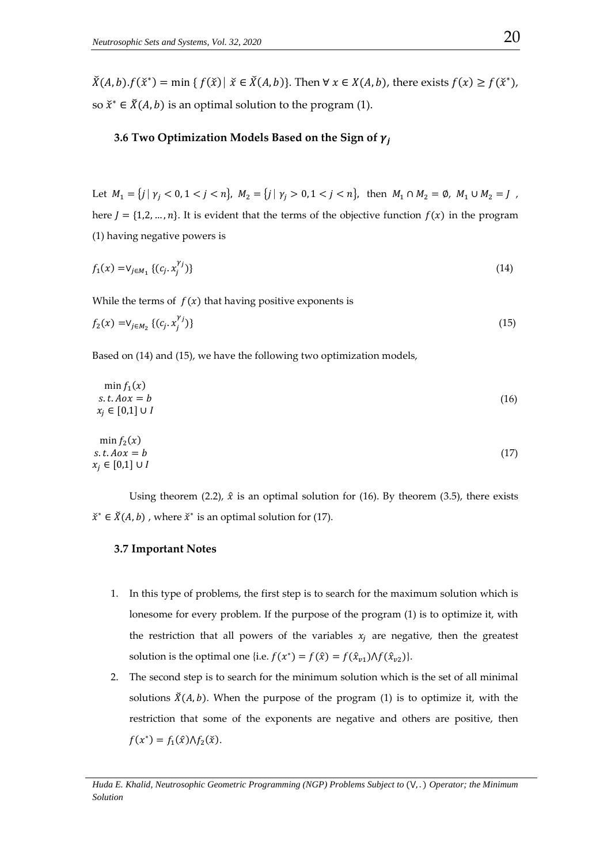$\check{X}(A, b) \cdot f(\check{x}^*) = \min \{ f(\check{x}) \mid \check{x} \in \check{X}(A, b) \}.$  Then  $\forall x \in X(A, b)$ , there exists  $f(x) \ge f(\check{x}^*)$ , so  $\check{x}^* \in \check{X}(A, b)$  is an optimal solution to the program (1).

# **3.6 Two Optimization Models Based on the Sign of**  $\gamma_i$

Let  $M_1 = \{ j \mid \gamma_j < 0, 1 < j < n \}, \ M_2 = \{ j \mid \gamma_j > 0, 1 < j < n \}, \text{ then } M_1 \cap M_2 = \emptyset, \ M_1 \cup M_2 = J \}$ here  $J = \{1,2,...,n\}$ . It is evident that the terms of the objective function  $f(x)$  in the program (1) having negative powers is

$$
f_1(x) = \vee_{j \in M_1} \{ (c_j, x_j^{\gamma_j}) \} \tag{14}
$$

While the terms of  $f(x)$  that having positive exponents is

$$
f_2(x) = V_{j \in M_2} \{ (c_j, x_j^{\gamma_j}) \} \tag{15}
$$

Based on (14) and (15), we have the following two optimization models,

$$
\min f_1(x)
$$
  
s.t.  $Aox = b$   
 $x_j \in [0,1] \cup I$  (16)

$$
\min f_2(x)
$$
  
s.t.  $Aox = b$   
 $x_j \in [0,1] \cup I$  (17)

Using theorem (2.2),  $\hat{x}$  is an optimal solution for (16). By theorem (3.5), there exists  $\check{x}^* \in \check{X}(A, b)$ , where  $\check{x}^*$  is an optimal solution for (17).

## **3.7 Important Notes**

- 1. In this type of problems, the first step is to search for the maximum solution which is lonesome for every problem. If the purpose of the program (1) is to optimize it, with the restriction that all powers of the variables  $x_i$  are negative, then the greatest solution is the optimal one {i.e.  $f(x^*) = f(\hat{x}) = f(\hat{x}_{n1})\Lambda f(\hat{x}_{n2})$  }.
- 2. The second step is to search for the minimum solution which is the set of all minimal solutions  $\check{X}(A, b)$ . When the purpose of the program (1) is to optimize it, with the restriction that some of the exponents are negative and others are positive, then  $f(x^*) = f_1(\hat{x}) \Lambda f_2(\check{x}).$

*Huda E. Khalid, Neutrosophic Geometric Programming (NGP) Problems Subject to (V,.) Operator; the Minimum Solution*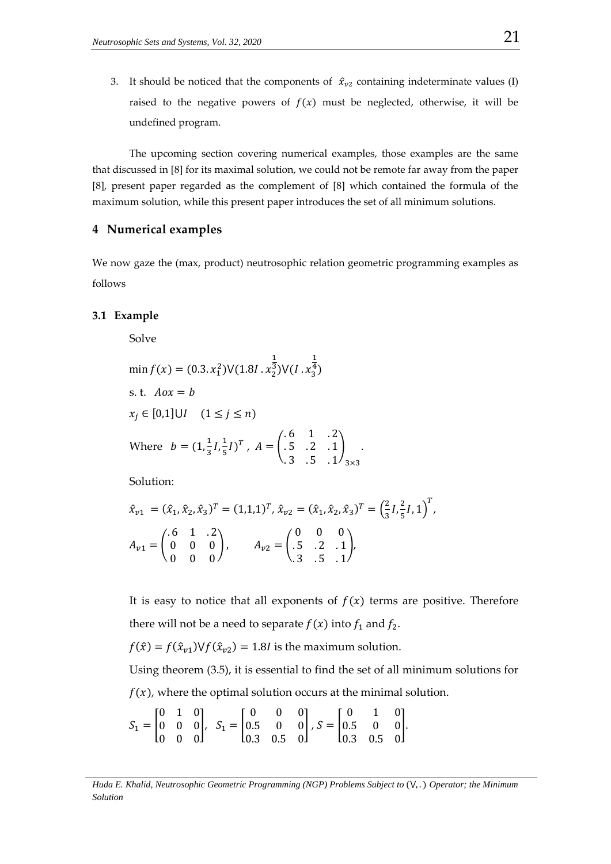3. It should be noticed that the components of  $\hat{x}_{v2}$  containing indeterminate values (I) raised to the negative powers of  $f(x)$  must be neglected, otherwise, it will be undefined program.

The upcoming section covering numerical examples, those examples are the same that discussed in [8] for its maximal solution, we could not be remote far away from the paper [8], present paper regarded as the complement of [8] which contained the formula of the maximum solution, while this present paper introduces the set of all minimum solutions.

# **4 Numerical examples**

We now gaze the (max, product) neutrosophic relation geometric programming examples as follows

## **3.1 Example**

Solve

$$
\min f(x) = (0.3 \cdot x_1^2) \vee (1.8I \cdot x_2^{\frac{1}{3}}) \vee (I \cdot x_3^{\frac{1}{4}})
$$
\ns. t.  $Aox = b$   
\n $x_j \in [0,1] \cup I \quad (1 \le j \le n)$   
\nWhere  $b = (1, \frac{1}{3}I, \frac{1}{5}I)^T$ ,  $A = \begin{pmatrix} .6 & 1 & .2 \\ .5 & .2 & .1 \\ .3 & .5 & .1 \end{pmatrix}_{3 \times 3}$ .

Solution:

$$
\hat{x}_{v1} = (\hat{x}_1, \hat{x}_2, \hat{x}_3)^T = (1, 1, 1)^T, \ \hat{x}_{v2} = (\hat{x}_1, \hat{x}_2, \hat{x}_3)^T = \left(\frac{2}{3}I, \frac{2}{5}I, 1\right)^T,
$$
  
\n
$$
A_{v1} = \begin{pmatrix} .6 & 1 & .2 \\ 0 & 0 & 0 \\ 0 & 0 & 0 \end{pmatrix}, \qquad A_{v2} = \begin{pmatrix} 0 & 0 & 0 \\ .5 & .2 & .1 \\ .3 & .5 & .1 \end{pmatrix},
$$

It is easy to notice that all exponents of  $f(x)$  terms are positive. Therefore there will not be a need to separate  $f(x)$  into  $f_1$  and  $f_2$ .

 $f(\hat{x}) = f(\hat{x}_{v1})Vf(\hat{x}_{v2}) = 1.8I$  is the maximum solution.

Using theorem (3.5), it is essential to find the set of all minimum solutions for  $f(x)$ , where the optimal solution occurs at the minimal solution.

$$
S_1 = \begin{bmatrix} 0 & 1 & 0 \\ 0 & 0 & 0 \\ 0 & 0 & 0 \end{bmatrix}, S_1 = \begin{bmatrix} 0 & 0 & 0 \\ 0.5 & 0 & 0 \\ 0.3 & 0.5 & 0 \end{bmatrix}, S = \begin{bmatrix} 0 & 1 & 0 \\ 0.5 & 0 & 0 \\ 0.3 & 0.5 & 0 \end{bmatrix}.
$$

*Huda E. Khalid, Neutrosophic Geometric Programming (NGP) Problems Subject to (V,.) Operator; the Minimum Solution*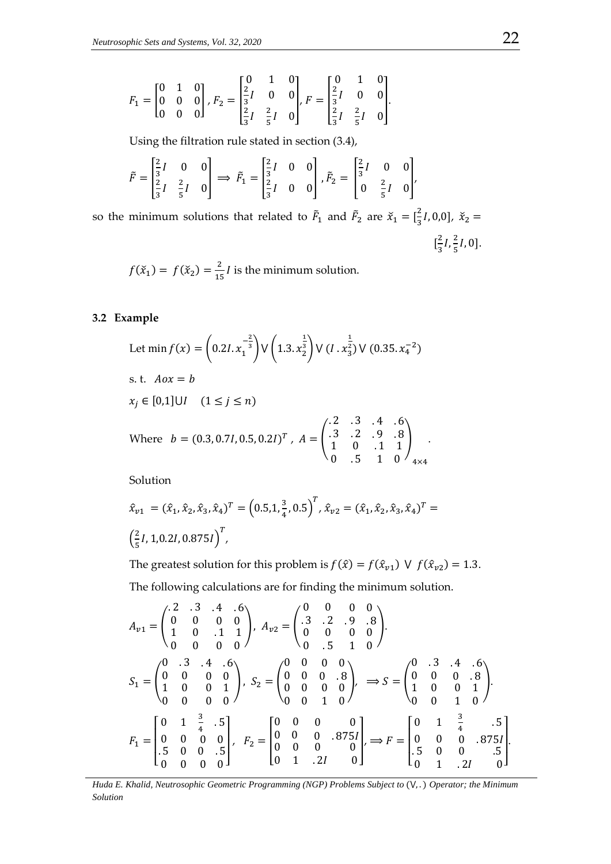$$
F_1 = \begin{bmatrix} 0 & 1 & 0 \\ 0 & 0 & 0 \\ 0 & 0 & 0 \end{bmatrix}, F_2 = \begin{bmatrix} 0 & 1 & 0 \\ \frac{2}{3}I & 0 & 0 \\ \frac{2}{3}I & \frac{2}{5}I & 0 \end{bmatrix}, F = \begin{bmatrix} 0 & 1 & 0 \\ \frac{2}{3}I & 0 & 0 \\ \frac{2}{3}I & \frac{2}{5}I & 0 \end{bmatrix}.
$$

Using the filtration rule stated in section (3.4),

$$
\tilde{F} = \begin{bmatrix} \frac{2}{3}I & 0 & 0 \\ \frac{2}{3}I & \frac{2}{5}I & 0 \end{bmatrix} \implies \tilde{F}_1 = \begin{bmatrix} \frac{2}{3}I & 0 & 0 \\ \frac{2}{3}I & 0 & 0 \end{bmatrix}, \tilde{F}_2 = \begin{bmatrix} \frac{2}{3}I & 0 & 0 \\ 0 & \frac{2}{5}I & 0 \end{bmatrix},
$$

so the minimum solutions that related to  $\tilde{F}_1$  and  $\tilde{F}_2$  are  $\tilde{X}_1 = \left[\frac{2}{3}\right]$  $(\frac{2}{3}I, 0, 0], \; \check{x}_2 =$  $\left[\frac{2}{2}\right]$  $\frac{2}{3}I, \frac{2}{5}$  $\frac{2}{5}I, 0].$ 

 $f(\check{x}_1) = f(\check{x}_2) = \frac{2}{15}I$  is the minimum solution.

# **3.2 Example**

Let 
$$
\min f(x) = \left(0.2I \cdot x_1^{-\frac{2}{3}}\right) \vee \left(1.3 \cdot x_2^{\frac{1}{3}}\right) \vee \left(I \cdot x_3^{\frac{1}{2}}\right) \vee (0.35 \cdot x_4^{-2})
$$
  
\ns. t.  $Aox = b$   
\n $x_j \in [0,1] \cup I \quad (1 \le j \le n)$   
\nWhere  $b = (0.3, 0.7I, 0.5, 0.2I)^T$ ,  $A = \begin{pmatrix} .2 & .3 & .4 & .6 \\ .3 & .2 & .9 & .8 \\ 1 & 0 & .1 & 1 \\ 0 & .5 & 1 & 0 \end{pmatrix}$ 

Solution

$$
\hat{x}_{v1} = (\hat{x}_1, \hat{x}_2, \hat{x}_3, \hat{x}_4)^T = (0.5, 1, \frac{3}{4}, 0.5)^T, \hat{x}_{v2} = (\hat{x}_1, \hat{x}_2, \hat{x}_3, \hat{x}_4)^T = \left(\frac{2}{5}I, 1, 0.2I, 0.875I\right)^T,
$$

The greatest solution for this problem is  $f(\hat{x}) = f(\hat{x}_{v1}) \vee f(\hat{x}_{v2}) = 1.3$ .

The following calculations are for finding the minimum solution.

$$
A_{v1} = \begin{pmatrix} .2 & .3 & .4 & .6 \\ 0 & 0 & 0 & 0 \\ 1 & 0 & .1 & 1 \end{pmatrix}, A_{v2} = \begin{pmatrix} .3 & .2 & .9 & .8 \\ .3 & .2 & .9 & .8 \\ 0 & 0 & 0 & 0 \end{pmatrix}.
$$
  
\n
$$
S_{1} = \begin{pmatrix} 0 & .3 & .4 & .6 \\ 0 & 0 & 0 & 0 \\ 1 & 0 & 0 & 1 \\ 0 & 0 & 0 & 0 \end{pmatrix}, S_{2} = \begin{pmatrix} 0 & 0 & 0 & 0 \\ 0 & 0 & 0 & .8 \\ 0 & 0 & 0 & 0 \\ 0 & 0 & 1 & 0 \end{pmatrix}, S_{2} = \begin{pmatrix} 0 & 0 & 0 & 0 \\ 0 & 0 & 0 & .8 \\ 0 & 0 & 0 & 0 \\ 0 & 0 & 1 & 0 \end{pmatrix} \implies S = \begin{pmatrix} 0 & .3 & .4 & .6 \\ 0 & 0 & 0 & .8 \\ 1 & 0 & 0 & 1 \\ 0 & 0 & 1 & 0 \end{pmatrix}.
$$
  
\n
$$
F_{1} = \begin{bmatrix} 0 & 1 & \frac{3}{4} & .5 \\ 0 & 0 & 0 & .5 \\ .5 & 0 & 0 & .5 \\ 0 & 0 & 0 & 0 \end{bmatrix}, F_{2} = \begin{bmatrix} 0 & 0 & 0 & 0 \\ 0 & 0 & 0 & .875I \\ 0 & 0 & 0 & 0 \\ 0 & 1 & .2I & 0 \end{bmatrix}, \implies F = \begin{bmatrix} 0 & 1 & \frac{3}{4} & .5 \\ 0 & 0 & 0 & .875I \\ .5 & 0 & 0 & .5 \\ 0 & 1 & .2I & 0 \end{bmatrix}.
$$

*Huda E. Khalid, Neutrosophic Geometric Programming (NGP) Problems Subject to (V,.) Operator; the Minimum Solution*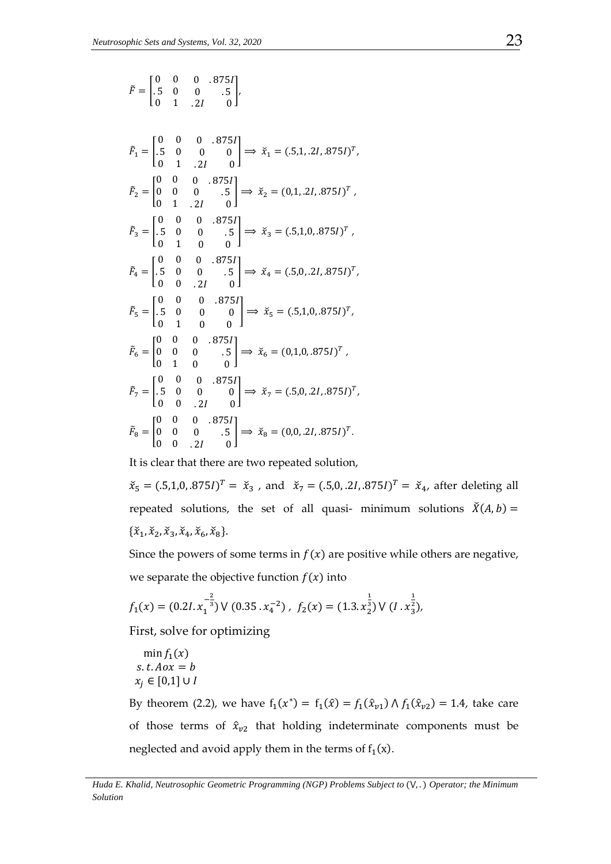$$
\tilde{F} = \begin{bmatrix} 0 & 0 & 0 & .875I \\ .5 & 0 & 0 & .5 \\ 0 & 1 & .2I & 0 \end{bmatrix},
$$
\n
$$
\tilde{F}_1 = \begin{bmatrix} 0 & 0 & 0 & .875I \\ .5 & 0 & 0 & 0 \\ 0 & 1 & .2I & 0 \end{bmatrix} \Rightarrow \tilde{x}_1 = (.5,1,.2I,.875I)^T,
$$
\n
$$
\tilde{F}_2 = \begin{bmatrix} 0 & 0 & 0 & .875I \\ 0 & 0 & 0 & .5 \\ 0 & 1 & .2I & 0 \end{bmatrix} \Rightarrow \tilde{x}_2 = (0,1,.2I,.875I)^T,
$$
\n
$$
\tilde{F}_3 = \begin{bmatrix} 0 & 0 & 0 & .875I \\ .5 & 0 & 0 & .5 \\ 0 & 1 & 0 & 0 \end{bmatrix} \Rightarrow \tilde{x}_3 = (.5,1,0,.875I)^T,
$$
\n
$$
\tilde{F}_4 = \begin{bmatrix} 0 & 0 & 0 & .875I \\ .5 & 0 & 0 & .5 \\ 0 & 0 & .2I & 0 \end{bmatrix} \Rightarrow \tilde{x}_4 = (.5,0,.2I,.875I)^T,
$$
\n
$$
\tilde{F}_5 = \begin{bmatrix} 0 & 0 & 0 & .875I \\ .5 & 0 & 0 & 0 \\ 0 & 1 & 0 & 0 \end{bmatrix} \Rightarrow \tilde{x}_5 = (.5,1,0,.875I)^T,
$$
\n
$$
\tilde{F}_6 = \begin{bmatrix} 0 & 0 & 0 & .875I \\ 0 & 0 & 0 & .5 \\ 0 & 1 & 0 & 0 \end{bmatrix} \Rightarrow \tilde{x}_6 = (0,1,0,.875I)^T,
$$
\n
$$
\tilde{F}_7 = \begin{bmatrix} 0 & 0 & 0 & .875I \\ .5 & 0 & 0 & 0 \\ 0 & 0 & .2I & 0 \end{bmatrix} \Rightarrow \tilde{x}_7 = (.5,0,.2I,.875I)^T.
$$
\n
$$
\tilde{F}_8 = \begin{bmatrix} 0 & 0 & 0 & .875I \\ 0 & 0 & 0 & .5 \\ 0 & 0 & .2I & 0 \end{bmatrix} \Rightarrow \
$$

It is clear that there are two repeated solution,

 $\check{x}_5 = (.5,1,0,.875I)^T = \check{x}_3$ , and  $\check{x}_7 = (.5,0,.2I,.875I)^T = \check{x}_4$ , after deleting all repeated solutions, the set of all quasi- minimum solutions  $\breve{X}(A, b) =$  $\{\check{x}_1, \check{x}_2, \check{x}_3, \check{x}_4, \check{x}_6, \check{x}_8\}.$ 

Since the powers of some terms in  $f(x)$  are positive while others are negative, we separate the objective function  $f(x)$  into

$$
f_1(x) = (0.2I. x_1^{-\frac{2}{3}}) \vee (0.35. x_4^{-2}), \ f_2(x) = (1.3. x_2^{\frac{1}{3}}) \vee (I. x_3^{\frac{1}{2}}),
$$

First, solve for optimizing

$$
\min f_1(x)
$$
  
s.t.  $Aox = b$   
 $x_i \in [0,1] \cup I$ 

By theorem (2.2), we have  $f_1(x^*) = f_1(\hat{x}) = f_1(\hat{x}_{v1}) \wedge f_1(\hat{x}_{v2}) = 1.4$ , take care of those terms of  $\hat{x}_{v2}$  that holding indeterminate components must be neglected and avoid apply them in the terms of  $f_1(x)$ .

*Huda E. Khalid, Neutrosophic Geometric Programming (NGP) Problems Subject to (V,.) Operator; the Minimum Solution*